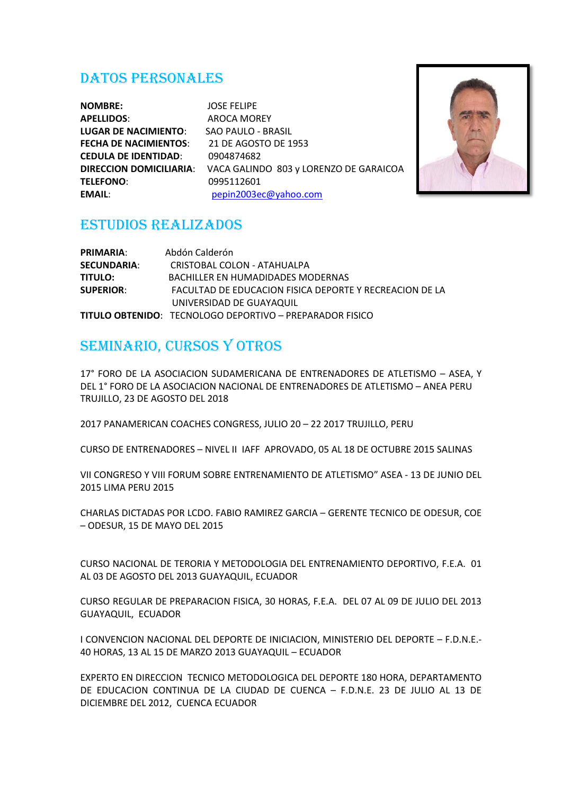## **DATOS PERSONALES**

**NOMBRE: APELLIDOS: LUGAR DE NACIMIENTO: FECHA DE NACIMIENTOS: CEDULA DE IDENTIDAD: TELEFONO: EMAIL:** 

**JOSE FELIPE AROCA MOREY** SAO PAULO - BRASIL 21 DE AGOSTO DE 1953 0904874682 DIRECCION DOMICILIARIA: VACA GALINDO 803 y LORENZO DE GARAICOA 0995112601 pepin2003ec@yahoo.com



### **ESTUDIOS REALIZADOS**

| <b>PRIMARIA:</b>   | Abdón Calderón                                           |
|--------------------|----------------------------------------------------------|
| <b>SECUNDARIA:</b> | CRISTOBAL COLON - ATAHUALPA                              |
| TITULO:            | BACHILLER EN HUMADIDADES MODERNAS                        |
| <b>SUPERIOR:</b>   | FACULTAD DE EDUCACION FISICA DEPORTE Y RECREACION DE LA  |
|                    | UNIVERSIDAD DE GUAYAQUIL                                 |
|                    | TITULO OBTENIDO: TECNOLOGO DEPORTIVO - PREPARADOR FISICO |

# **SEMINARIO, CURSOS Y OTROS**

17° FORO DE LA ASOCIACION SUDAMERICANA DE ENTRENADORES DE ATLETISMO - ASEA, Y DEL 1° FORO DE LA ASOCIACION NACIONAL DE ENTRENADORES DE ATLETISMO - ANEA PERU TRUJILLO, 23 DE AGOSTO DEL 2018

2017 PANAMERICAN COACHES CONGRESS, JULIO 20 - 22 2017 TRUJILLO, PERU

CURSO DE ENTRENADORES - NIVEL II JAFF APROVADO, 05 AL 18 DE OCTUBRE 2015 SALINAS

VII CONGRESO Y VIII FORUM SOBRE ENTRENAMIENTO DE ATLETISMO" ASEA - 13 DE JUNIO DEL 2015 LIMA PERU 2015

CHARLAS DICTADAS POR LCDO. FABIO RAMIREZ GARCIA - GERENTE TECNICO DE ODESUR, COE - ODESUR, 15 DE MAYO DEL 2015

CURSO NACIONAL DE TERORIA Y METODOLOGIA DEL ENTRENAMIENTO DEPORTIVO. F.E.A. 01 AL 03 DE AGOSTO DEL 2013 GUAYAQUIL, ECUADOR

CURSO REGULAR DE PREPARACION FISICA, 30 HORAS, F.E.A. DEL 07 AL 09 DE JULIO DEL 2013 GUAYAQUIL, ECUADOR

I CONVENCION NACIONAL DEL DEPORTE DE INICIACION. MINISTERIO DEL DEPORTE - F.D.N.E.-40 HORAS, 13 AL 15 DE MARZO 2013 GUAYAQUIL - ECUADOR

EXPERTO EN DIRECCION TECNICO METODOLOGICA DEL DEPORTE 180 HORA, DEPARTAMENTO DE EDUCACION CONTINUA DE LA CIUDAD DE CUENCA - F.D.N.E. 23 DE JULIO AL 13 DE DICIEMBRE DEL 2012, CUENCA ECUADOR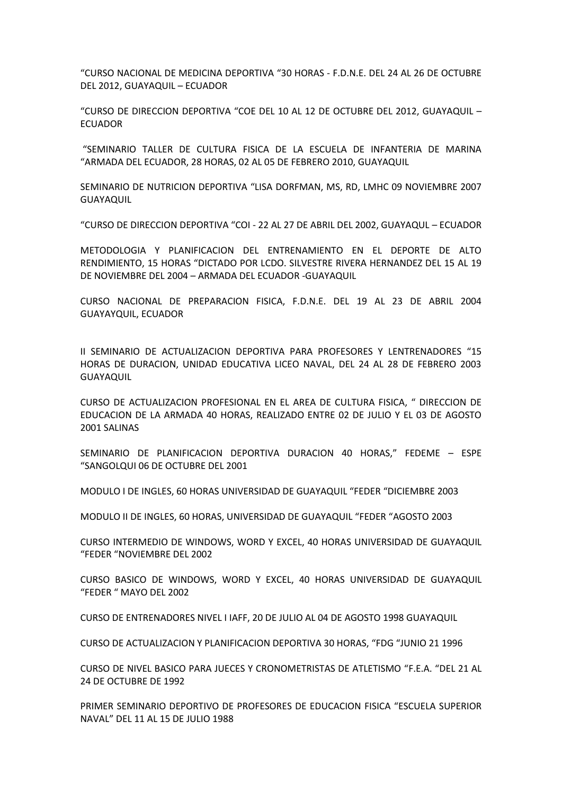"CURSO NACIONAL DE MEDICINA DEPORTIVA "30 HORAS - F.D.N.E. DEL 24 AL 26 DE OCTUBRE DEL 2012, GUAYAQUIL – ECUADOR

"CURSO DE DIRECCION DEPORTIVA "COE DEL 10 AL 12 DE OCTUBRE DEL 2012, GUAYAQUIL – ECUADOR

"SEMINARIO TALLER DE CULTURA FISICA DE LA ESCUELA DE INFANTERIA DE MARINA "ARMADA DEL ECUADOR, 28 HORAS, 02 AL 05 DE FEBRERO 2010, GUAYAQUIL

SEMINARIO DE NUTRICION DEPORTIVA "LISA DORFMAN, MS, RD, LMHC 09 NOVIEMBRE 2007 GUAYAQUIL

"CURSO DE DIRECCION DEPORTIVA "COI - 22 AL 27 DE ABRIL DEL 2002, GUAYAQUL – ECUADOR

METODOLOGIA Y PLANIFICACION DEL ENTRENAMIENTO EN EL DEPORTE DE ALTO RENDIMIENTO, 15 HORAS "DICTADO POR LCDO. SILVESTRE RIVERA HERNANDEZ DEL 15 AL 19 DE NOVIEMBRE DEL 2004 – ARMADA DEL ECUADOR -GUAYAQUIL

CURSO NACIONAL DE PREPARACION FISICA, F.D.N.E. DEL 19 AL 23 DE ABRIL 2004 GUAYAYQUIL, ECUADOR

II SEMINARIO DE ACTUALIZACION DEPORTIVA PARA PROFESORES Y LENTRENADORES "15 HORAS DE DURACION, UNIDAD EDUCATIVA LICEO NAVAL, DEL 24 AL 28 DE FEBRERO 2003 GUAYAQUIL

CURSO DE ACTUALIZACION PROFESIONAL EN EL AREA DE CULTURA FISICA, " DIRECCION DE EDUCACION DE LA ARMADA 40 HORAS, REALIZADO ENTRE 02 DE JULIO Y EL 03 DE AGOSTO 2001 SALINAS

SEMINARIO DE PLANIFICACION DEPORTIVA DURACION 40 HORAS," FEDEME – ESPE "SANGOLQUI 06 DE OCTUBRE DEL 2001

MODULO I DE INGLES, 60 HORAS UNIVERSIDAD DE GUAYAQUIL "FEDER "DICIEMBRE 2003

MODULO II DE INGLES, 60 HORAS, UNIVERSIDAD DE GUAYAQUIL "FEDER "AGOSTO 2003

CURSO INTERMEDIO DE WINDOWS, WORD Y EXCEL, 40 HORAS UNIVERSIDAD DE GUAYAQUIL "FEDER "NOVIEMBRE DEL 2002

CURSO BASICO DE WINDOWS, WORD Y EXCEL, 40 HORAS UNIVERSIDAD DE GUAYAQUIL "FEDER " MAYO DEL 2002

CURSO DE ENTRENADORES NIVEL I IAFF, 20 DE JULIO AL 04 DE AGOSTO 1998 GUAYAQUIL

CURSO DE ACTUALIZACION Y PLANIFICACION DEPORTIVA 30 HORAS, "FDG "JUNIO 21 1996

CURSO DE NIVEL BASICO PARA JUECES Y CRONOMETRISTAS DE ATLETISMO "F.E.A. "DEL 21 AL 24 DE OCTUBRE DE 1992

PRIMER SEMINARIO DEPORTIVO DE PROFESORES DE EDUCACION FISICA "ESCUELA SUPERIOR NAVAL" DEL 11 AL 15 DE JULIO 1988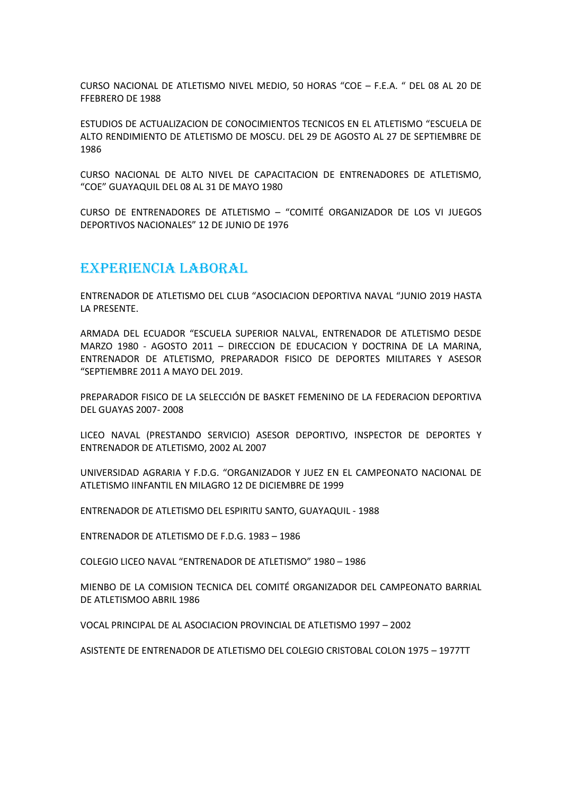CURSO NACIONAL DE ATLETISMO NIVEL MEDIO, 50 HORAS "COE – F.E.A. " DEL 08 AL 20 DE FFEBRERO DE 1988

ESTUDIOS DE ACTUALIZACION DE CONOCIMIENTOS TECNICOS EN EL ATLETISMO "ESCUELA DE ALTO RENDIMIENTO DE ATLETISMO DE MOSCU. DEL 29 DE AGOSTO AL 27 DE SEPTIEMBRE DE 1986

CURSO NACIONAL DE ALTO NIVEL DE CAPACITACION DE ENTRENADORES DE ATLETISMO, "COE" GUAYAQUIL DEL 08 AL 31 DE MAYO 1980

CURSO DE ENTRENADORES DE ATLETISMO – "COMITÉ ORGANIZADOR DE LOS VI JUEGOS DEPORTIVOS NACIONALES" 12 DE JUNIO DE 1976

### EXPERIENCIA LABORAL

ENTRENADOR DE ATLETISMO DEL CLUB "ASOCIACION DEPORTIVA NAVAL "JUNIO 2019 HASTA LA PRESENTE.

ARMADA DEL ECUADOR "ESCUELA SUPERIOR NALVAL, ENTRENADOR DE ATLETISMO DESDE MARZO 1980 - AGOSTO 2011 – DIRECCION DE EDUCACION Y DOCTRINA DE LA MARINA, ENTRENADOR DE ATLETISMO, PREPARADOR FISICO DE DEPORTES MILITARES Y ASESOR "SEPTIEMBRE 2011 A MAYO DEL 2019.

PREPARADOR FISICO DE LA SELECCIÓN DE BASKET FEMENINO DE LA FEDERACION DEPORTIVA DEL GUAYAS 2007- 2008

LICEO NAVAL (PRESTANDO SERVICIO) ASESOR DEPORTIVO, INSPECTOR DE DEPORTES Y ENTRENADOR DE ATLETISMO, 2002 AL 2007

UNIVERSIDAD AGRARIA Y F.D.G. "ORGANIZADOR Y JUEZ EN EL CAMPEONATO NACIONAL DE ATLETISMO IINFANTIL EN MILAGRO 12 DE DICIEMBRE DE 1999

ENTRENADOR DE ATLETISMO DEL ESPIRITU SANTO, GUAYAQUIL - 1988

ENTRENADOR DE ATLETISMO DE F.D.G. 1983 – 1986

COLEGIO LICEO NAVAL "ENTRENADOR DE ATLETISMO" 1980 – 1986

MIENBO DE LA COMISION TECNICA DEL COMITÉ ORGANIZADOR DEL CAMPEONATO BARRIAL DE ATLETISMOO ABRIL 1986

VOCAL PRINCIPAL DE AL ASOCIACION PROVINCIAL DE ATLETISMO 1997 – 2002

ASISTENTE DE ENTRENADOR DE ATLETISMO DEL COLEGIO CRISTOBAL COLON 1975 – 1977TT